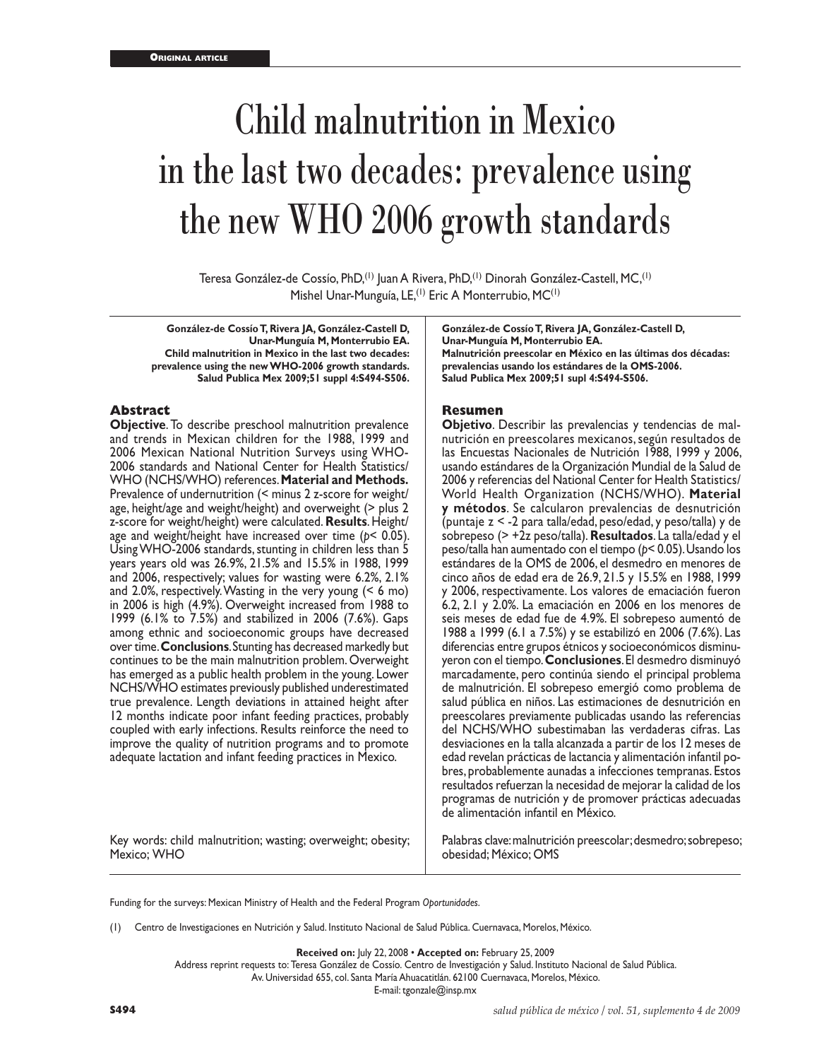# Child malnutrition in Mexico in the last two decades: prevalence using the new WHO 2006 growth standards

Teresa González-de Cossío, PhD,<sup>(1)</sup> Juan A Rivera, PhD,<sup>(1)</sup> Dinorah González-Castell, MC,<sup>(1)</sup> Mishel Unar-Munguía, LE,<sup>(1)</sup> Eric A Monterrubio, MC<sup>(1)</sup>

**González-de Cossío T, Rivera JA, González-Castell D, Unar-Munguía M, Monterrubio EA. Child malnutrition in Mexico in the last two decades: prevalence using the new WHO-2006 growth standards. Salud Publica Mex 2009;51 suppl 4:S494-S506.**

## **Abstract**

**Objective**. To describe preschool malnutrition prevalence and trends in Mexican children for the 1988, 1999 and 2006 Mexican National Nutrition Surveys using WHO-2006 standards and National Center for Health Statistics/ WHO (NCHS/WHO) references. **Material and Methods.** Prevalence of undernutrition (< minus 2 z-score for weight/ age, height/age and weight/height) and overweight (> plus 2 z-score for weight/height) were calculated. **Results**. Height/ age and weight/height have increased over time (*p*< 0.05). Using WHO-2006 standards, stunting in children less than 5 years years old was 26.9%, 21.5% and 15.5% in 1988, 1999 and 2006, respectively; values for wasting were 6.2%, 2.1% and 2.0%, respectively. Wasting in the very young (< 6 mo) in 2006 is high (4.9%). Overweight increased from 1988 to 1999 (6.1% to 7.5%) and stabilized in 2006 (7.6%). Gaps among ethnic and socioeconomic groups have decreased over time. **Conclusions**. Stunting has decreased markedly but continues to be the main malnutrition problem. Overweight has emerged as a public health problem in the young. Lower NCHS/WHO estimates previously published underestimated true prevalence. Length deviations in attained height after 12 months indicate poor infant feeding practices, probably coupled with early infections. Results reinforce the need to improve the quality of nutrition programs and to promote adequate lactation and infant feeding practices in Mexico.

Key words: child malnutrition; wasting; overweight; obesity; Mexico; WHO

**González-de Cossío T, Rivera JA, González-Castell D, Unar-Munguía M, Monterrubio EA. Malnutrición preescolar en México en las últimas dos décadas: prevalencias usando los estándares de la OMS-2006. Salud Publica Mex 2009;51 supl 4:S494-S506.**

## **Resumen**

**Objetivo**. Describir las prevalencias y tendencias de malnutrición en preescolares mexicanos, según resultados de las Encuestas Nacionales de Nutrición 1988, 1999 y 2006, usando estándares de la Organización Mundial de la Salud de 2006 y referencias del National Center for Health Statistics/ World Health Organization (NCHS/WHO). **Material y métodos**. Se calcularon prevalencias de desnutrición (puntaje z < -2 para talla/edad, peso/edad, y peso/talla) y de sobrepeso (> +2z peso/talla). **Resultados**. La talla/edad y el peso/talla han aumentado con el tiempo (*p*< 0.05). Usando los estándares de la OMS de 2006, el desmedro en menores de cinco años de edad era de 26.9, 21.5 y 15.5% en 1988, 1999 2006, respectivamente. Los valores de emaciación fueron 6.2, 2.1 y 2.0%. La emaciación en 2006 en los menores de seis meses de edad fue de 4.9%. El sobrepeso aumentó de 1988 a 1999 (6.1 a 7.5%) y se estabilizó en 2006 (7.6%). Las diferencias entre grupos étnicos y socioeconómicos disminuyeron con el tiempo. **Conclusiones**. El desmedro disminuyó marcadamente, pero continúa siendo el principal problema de malnutrición. El sobrepeso emergió como problema de salud pública en niños. Las estimaciones de desnutrición en preescolares previamente publicadas usando las referencias del NCHS/WHO subestimaban las verdaderas cifras. Las desviaciones en la talla alcanzada a partir de los 12 meses de edad revelan prácticas de lactancia y alimentación infantil pobres, probablemente aunadas a infecciones tempranas. Estos resultados refuerzan la necesidad de mejorar la calidad de los programas de nutrición y de promover prácticas adecuadas de alimentación infantil en México.

Palabras clave: malnutrición preescolar; desmedro; sobrepeso; obesidad; México; OMS

Funding for the surveys: Mexican Ministry of Health and the Federal Program *Oportunidades*.

(1) Centro de Investigaciones en Nutrición y Salud. Instituto Nacional de Salud Pública. Cuernavaca, Morelos, México.

**Received on:** July 22, 2008 • **Accepted on:** February 25, 2009

Address reprint requests to: Teresa González de Cossío. Centro de Investigación y Salud. Instituto Nacional de Salud Pública. Av. Universidad 655, col. Santa María Ahuacatitlán. 62100 Cuernavaca, Morelos, México.

E-mail: tgonzale@insp.mx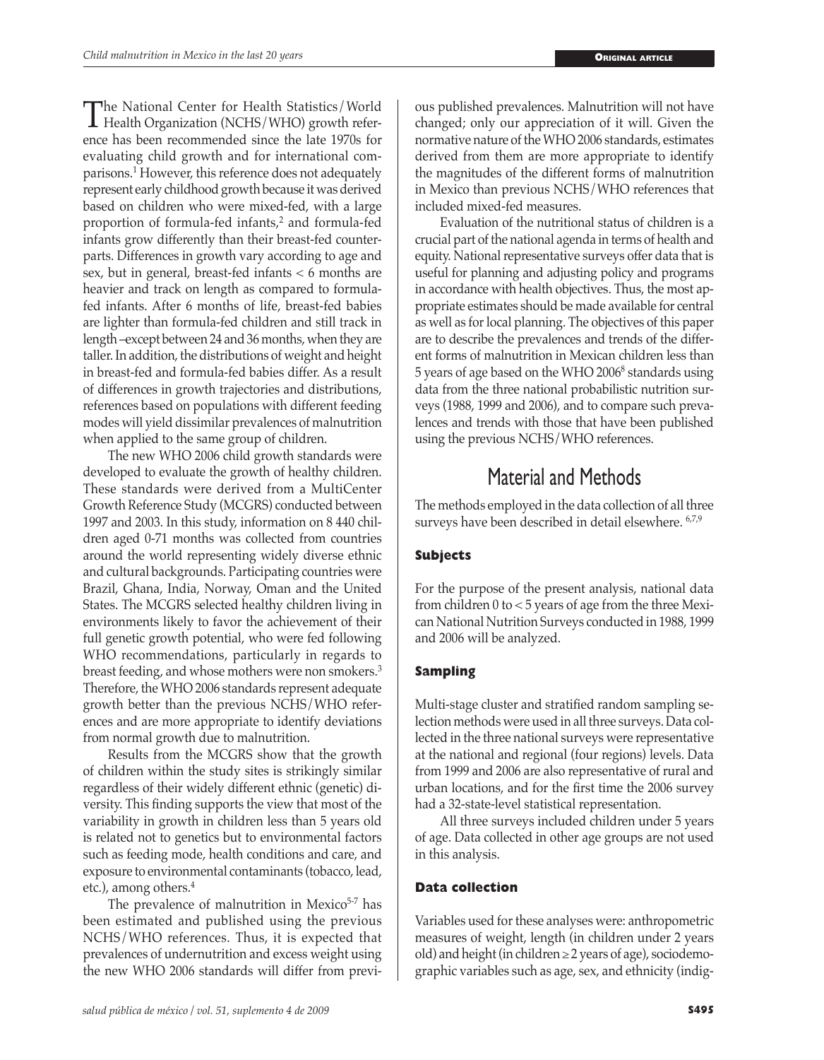The National Center for Health Statistics/World<br>
Health Organization (NCHS/WHO) growth refer-<br>
ance has been recommended since the late 1970s for ence has been recommended since the late 1970s for evaluating child growth and for international comparisons.1 However, this reference does not adequately represent early childhood growth because it was derived based on children who were mixed-fed, with a large proportion of formula-fed infants, $2$  and formula-fed infants grow differently than their breast-fed counterparts. Differences in growth vary according to age and sex, but in general, breast-fed infants < 6 months are heavier and track on length as compared to formulafed infants. After 6 months of life, breast-fed babies are lighter than formula-fed children and still track in length –except between 24 and 36 months, when they are taller. In addition, the distributions of weight and height in breast-fed and formula-fed babies differ. As a result of differences in growth trajectories and distributions, references based on populations with different feeding modes will yield dissimilar prevalences of malnutrition when applied to the same group of children.

The new WHO 2006 child growth standards were developed to evaluate the growth of healthy children. These standards were derived from a MultiCenter Growth Reference Study (MCGRS) conducted between 1997 and 2003. In this study, information on 8 440 children aged 0-71 months was collected from countries around the world representing widely diverse ethnic and cultural backgrounds. Participating countries were Brazil, Ghana, India, Norway, Oman and the United States. The MCGRS selected healthy children living in environments likely to favor the achievement of their full genetic growth potential, who were fed following WHO recommendations, particularly in regards to breast feeding, and whose mothers were non smokers.3 Therefore, the WHO 2006 standards represent adequate growth better than the previous NCHS/WHO references and are more appropriate to identify deviations from normal growth due to malnutrition.

Results from the MCGRS show that the growth of children within the study sites is strikingly similar regardless of their widely different ethnic (genetic) diversity. This finding supports the view that most of the variability in growth in children less than 5 years old is related not to genetics but to environmental factors such as feeding mode, health conditions and care, and exposure to environmental contaminants (tobacco, lead, etc.), among others.<sup>4</sup>

The prevalence of malnutrition in Mexico<sup>5-7</sup> has been estimated and published using the previous NCHS/WHO references. Thus, it is expected that prevalences of undernutrition and excess weight using the new WHO 2006 standards will differ from previous published prevalences. Malnutrition will not have changed; only our appreciation of it will. Given the normative nature of the WHO 2006 standards, estimates derived from them are more appropriate to identify the magnitudes of the different forms of malnutrition in Mexico than previous NCHS/WHO references that included mixed-fed measures.

Evaluation of the nutritional status of children is a crucial part of the national agenda in terms of health and equity. National representative surveys offer data that is useful for planning and adjusting policy and programs in accordance with health objectives. Thus, the most appropriate estimates should be made available for central as well as for local planning. The objectives of this paper are to describe the prevalences and trends of the different forms of malnutrition in Mexican children less than 5 years of age based on the WHO 2006<sup>8</sup> standards using data from the three national probabilistic nutrition surveys (1988, 1999 and 2006), and to compare such prevalences and trends with those that have been published using the previous NCHS/WHO references.

# Material and Methods

The methods employed in the data collection of all three surveys have been described in detail elsewhere. 6,7,9

## **Subjects**

For the purpose of the present analysis, national data from children 0 to < 5 years of age from the three Mexican National Nutrition Surveys conducted in 1988, 1999 and 2006 will be analyzed.

## **Sampling**

Multi-stage cluster and stratified random sampling selection methods were used in all three surveys. Data collected in the three national surveys were representative at the national and regional (four regions) levels. Data from 1999 and 2006 are also representative of rural and urban locations, and for the first time the 2006 survey had a 32-state-level statistical representation.

All three surveys included children under 5 years of age. Data collected in other age groups are not used in this analysis.

## **Data collection**

Variables used for these analyses were: anthropometric measures of weight, length (in children under 2 years old) and height (in children  $\geq$  2 years of age), sociodemographic variables such as age, sex, and ethnicity (indig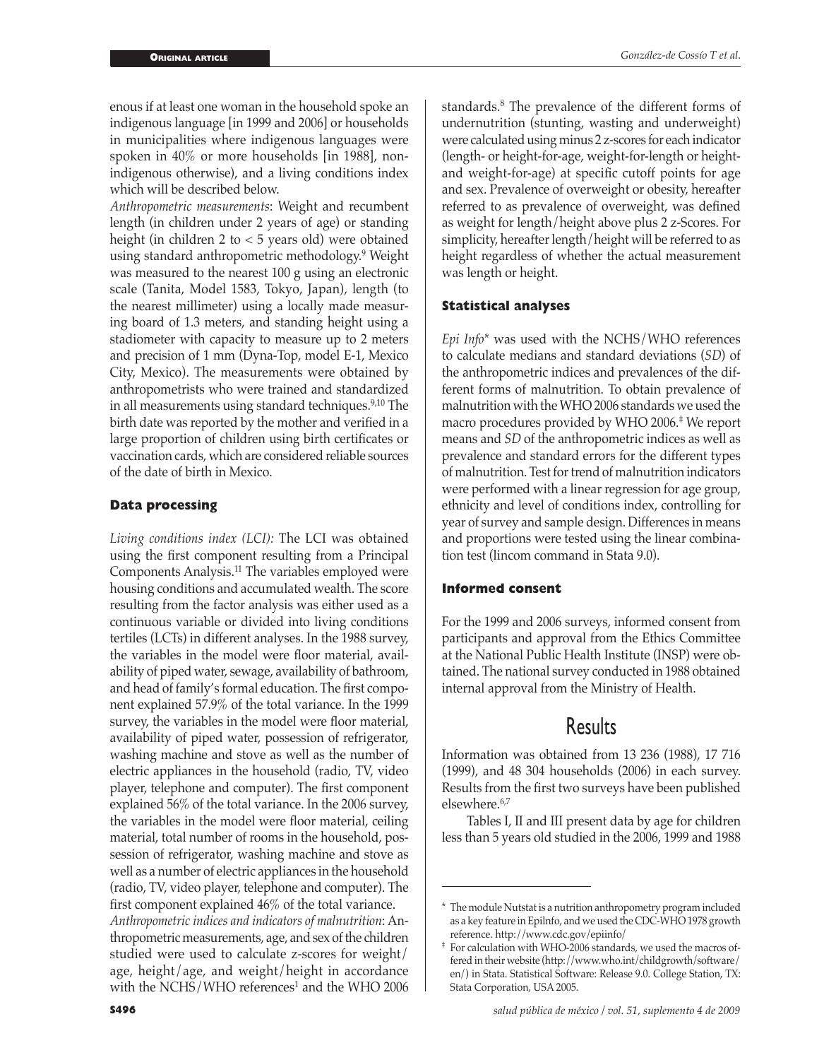enous if at least one woman in the household spoke an indigenous language [in 1999 and 2006] or households in municipalities where indigenous languages were spoken in 40% or more households [in 1988], nonindigenous otherwise), and a living conditions index which will be described below.

*Anthropometric measurements*: Weight and recumbent length (in children under 2 years of age) or standing height (in children 2 to < 5 years old) were obtained using standard anthropometric methodology.9 Weight was measured to the nearest 100 g using an electronic scale (Tanita, Model 1583, Tokyo, Japan), length (to the nearest millimeter) using a locally made measuring board of 1.3 meters, and standing height using a stadiometer with capacity to measure up to 2 meters and precision of 1 mm (Dyna-Top, model E-1, Mexico City, Mexico). The measurements were obtained by anthropometrists who were trained and standardized in all measurements using standard techniques.<sup>9,10</sup> The birth date was reported by the mother and verified in a large proportion of children using birth certificates or vaccination cards, which are considered reliable sources of the date of birth in Mexico.

## **Data processing**

*Living conditions index (LCI):* The LCI was obtained using the first component resulting from a Principal Components Analysis.11 The variables employed were housing conditions and accumulated wealth. The score resulting from the factor analysis was either used as a continuous variable or divided into living conditions tertiles (LCTs) in different analyses. In the 1988 survey, the variables in the model were floor material, availability of piped water, sewage, availability of bathroom, and head of family's formal education. The first component explained 57.9% of the total variance. In the 1999 survey, the variables in the model were floor material, availability of piped water, possession of refrigerator, washing machine and stove as well as the number of electric appliances in the household (radio, TV, video player, telephone and computer). The first component explained 56% of the total variance. In the 2006 survey, the variables in the model were floor material, ceiling material, total number of rooms in the household, possession of refrigerator, washing machine and stove as well as a number of electric appliances in the household (radio, TV, video player, telephone and computer). The first component explained 46% of the total variance. *Anthropometric indices and indicators of malnutrition*: Anthropometric measurements, age, and sex of the children studied were used to calculate z-scores for weight/ age, height/age, and weight/height in accordance with the NCHS/WHO references<sup>1</sup> and the WHO 2006

standards.<sup>8</sup> The prevalence of the different forms of undernutrition (stunting, wasting and underweight) were calculated using minus 2 z-scores for each indicator (length- or height-for-age, weight-for-length or heightand weight-for-age) at specific cutoff points for age and sex. Prevalence of overweight or obesity, hereafter referred to as prevalence of overweight, was defined as weight for length/height above plus 2 z-Scores. For simplicity, hereafter length/height will be referred to as height regardless of whether the actual measurement was length or height.

## **Statistical analyses**

*Epi Info\** was used with the NCHS/WHO references to calculate medians and standard deviations (*SD*) of the anthropometric indices and prevalences of the different forms of malnutrition. To obtain prevalence of malnutrition with the WHO 2006 standards we used the macro procedures provided by WHO 2006.‡ We report means and *SD* of the anthropometric indices as well as prevalence and standard errors for the different types of malnutrition. Test for trend of malnutrition indicators were performed with a linear regression for age group, ethnicity and level of conditions index, controlling for year of survey and sample design. Differences in means and proportions were tested using the linear combination test (lincom command in Stata 9.0).

# **Informed consent**

For the 1999 and 2006 surveys, informed consent from participants and approval from the Ethics Committee at the National Public Health Institute (INSP) were obtained. The national survey conducted in 1988 obtained internal approval from the Ministry of Health.

# Results

Information was obtained from 13 236 (1988), 17 716 (1999), and 48 304 households (2006) in each survey. Results from the first two surveys have been published elsewhere.6,7

Tables I, II and III present data by age for children less than 5 years old studied in the 2006, 1999 and 1988

<sup>\*</sup> The module Nutstat is a nutrition anthropometry program included as a key feature in Epilnfo, and we used the CDC-WHO 1978 growth reference. http://www.cdc.gov/epiinfo/

For calculation with WHO-2006 standards, we used the macros offered in their website (http://www.who.int/childgrowth/software/ en/) in Stata. Statistical Software: Release 9.0. College Station, TX: Stata Corporation, USA 2005.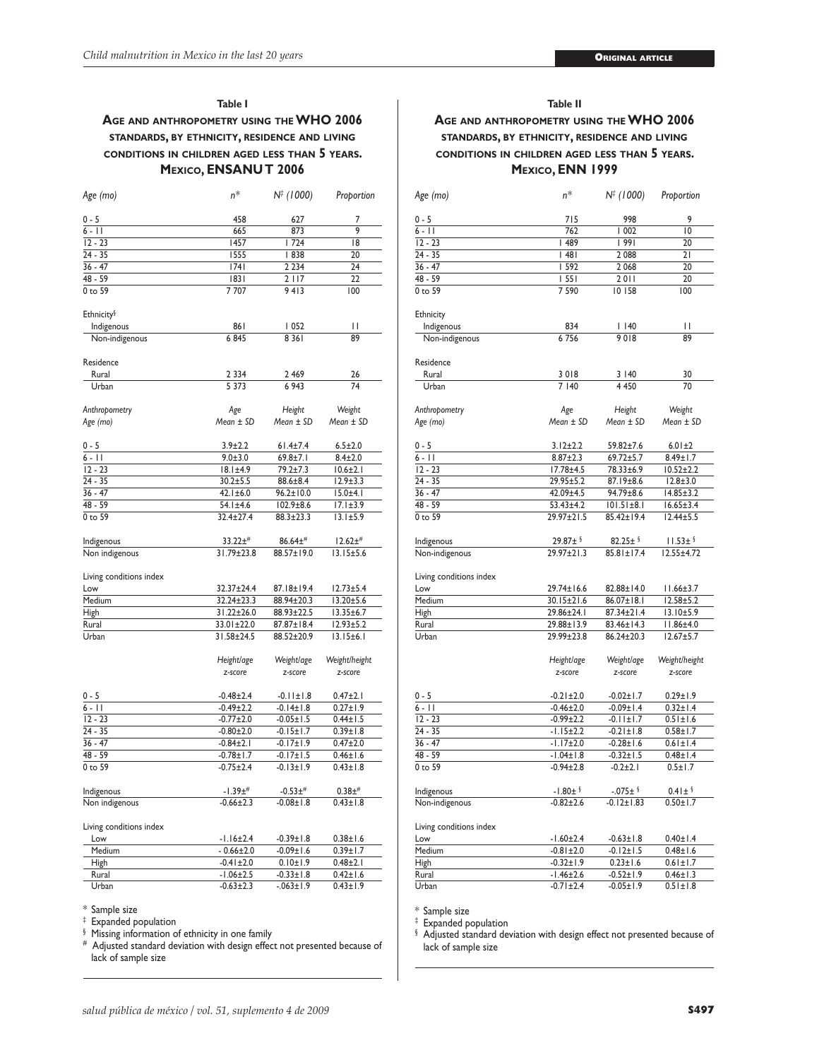#### **Table I**

# **Age and anthropometry using the WHO 2006 standards, by ethnicity, residence and living conditions in children aged less than 5 years. Mexico, ENSANUT 2006**

| Age (mo)                | n*              | N‡ (1000)       | Proportion      |
|-------------------------|-----------------|-----------------|-----------------|
| $0 - 5$                 | 458             | 627             | 7               |
| $6 - 11$                | 665             | 873             | 9               |
| $12 - 23$               | 1457            | 1724            | 8               |
| 24 - 35                 |                 | 1555<br>  838   |                 |
| $36 - 47$               |                 | 74 <br>2 2 3 4  |                 |
| 48 - 59                 | 1831            | 2117            |                 |
| 0 to 59                 | 7707            | 9413            | 22<br>100       |
|                         |                 |                 |                 |
| Ethnicity <sup>§</sup>  |                 |                 |                 |
| Indigenous              | 861             | 1052            | П<br>89         |
| Non-indigenous          | 6845            | 8 3 6 1         |                 |
| Residence               |                 |                 |                 |
| Rural                   | 2 3 3 4         | 26              |                 |
| Urban                   | 5 3 7 3         | 6 9 4 3         | 74              |
|                         |                 |                 |                 |
| Anthropometry           | Age             | Height          | Weight          |
| Age (mo)                | Mean ± SD       | $Mean \pm SD$   | $Mean \pm SD$   |
|                         |                 |                 |                 |
| 0 - 5                   | $3.9 + 2.2$     | 61.4±7.4        | $6.5 \pm 2.0$   |
| $6 - 11$                | $9.0 + 3.0$     | $69.8 + 7.1$    | $8.4 + 2.0$     |
| $12 - 23$               | $18.1 \pm 4.9$  | 79.2±7.3        | $10.6 \pm 2.1$  |
| $24 - 35$               | $30.2 + 5.5$    | 88.6±8.4        | $12.9 + 3.3$    |
| $36 - 47$               | $42.1 \pm 6.0$  | $96.2 \pm 10.0$ | $15.0\pm4.1$    |
| 48 - 59                 | 54.1±4.6        | $102.9 \pm 8.6$ | $17.1 \pm 3.9$  |
| 0 to 59                 | 32.4±27.4       | 88.3±23.3       | $13.1 \pm 5.9$  |
|                         |                 |                 |                 |
| Indigenous              | $33.22 +$ #     | $86.64\pm^{#}$  | $12.62 \pm 4$   |
| Non indigenous          | 31.79±23.8      | 88.57±19.0      | $13.15 \pm 5.6$ |
| Living conditions index |                 |                 |                 |
| Low                     | 32.37±24.4      | 87.18±19.4      | $12.73 + 5.4$   |
| Medium                  | 32.24±23.3      | 88.94±20.3      | $13.20 \pm 5.6$ |
| High                    | 31.22±26.0      | 88.93±22.5      | 13.35±6.7       |
| Rural                   | 33.01±22.0      | 87.87±18.4      | $12.93 + 5.2$   |
| Urban                   | 31.58±24.5      | 88.52±20.9      | $13.15 \pm 6.1$ |
|                         |                 |                 |                 |
|                         | Height/age      | Weight/age      | Weight/height   |
|                         | z-score         | z-score         | z-score         |
|                         |                 |                 |                 |
| 0 - 5                   | $-0.48 \pm 2.4$ | $-0.11 \pm 1.8$ | $0.47 \pm 2.1$  |
| $6 - 11$                | $-0.49 \pm 2.2$ | $-0.14 \pm 1.8$ | $0.27 \pm 1.9$  |
| $12 - 23$               | $-0.77 + 2.0$   | $-0.05 \pm 1.5$ | $0.44 \pm 1.5$  |
| $24 - 35$               | $-0.80 \pm 2.0$ | $-0.15 \pm 1.7$ | $0.39 \pm 1.8$  |
| $36 - 47$               | $-0.84 \pm 2.1$ | $-0.17 \pm 1.9$ | $0.47 + 2.0$    |
| 48 - 59                 | $-0.78 + 1.7$   | $-0.17 \pm 1.5$ | $0.46 \pm 1.6$  |
| 0 to 59                 | $-0.75 \pm 2.4$ | $-0.13 \pm 1.9$ | $0.43 \pm 1.8$  |
| Indigenous              | $-1.39$ ±#      | $-0.53+$        | $0.38 +#$       |
| Non indigenous          | $-0.66 \pm 2.3$ | $-0.08 \pm 1.8$ | $0.43 \pm 1.8$  |
|                         |                 |                 |                 |
| Living conditions index |                 |                 |                 |
| Low                     | $-1.16 \pm 2.4$ | $-0.39 \pm 1.8$ | $0.38 + 1.6$    |
| Medium                  | $-0.66 \pm 2.0$ | $-0.09 \pm 1.6$ | $0.39 + 1.7$    |
| High                    | $-0.41 \pm 2.0$ | $0.10 \pm 1.9$  | $0.48 + 2.1$    |
| Rural                   | $-1.06 \pm 2.5$ | $-0.33 \pm 1.8$ | $0.42 \pm 1.6$  |
| Urban                   | $-0.63 \pm 2.3$ | $-063 \pm 1.9$  | $0.43 \pm 1.9$  |

## \* Sample size

‡ Expanded population

§ Missing information of ethnicity in one family

# Adjusted standard deviation with design effect not presented because of lack of sample size

# **Table II Age and anthropometry using the WHO 2006 standards, by ethnicity, residence and living conditions in children aged less than 5 years. Mexico, ENN 1999**

| Age (mo)                | n*              | N‡ (1000)        | Proportion       |
|-------------------------|-----------------|------------------|------------------|
| 0 - 5                   | 715             | 998              | 9                |
| $6 - 11$                | 762             | 1002             | $\overline{0}$   |
| $12 - 23$               | 489             | 99               | 20               |
| $24 - 35$               | 48              | 2 0 8 8          | 21               |
| $36 - 47$               | 592             | 2 0 6 8          | 20               |
| 48 - 59                 | 1551            |                  | 20               |
|                         |                 | 2011             |                  |
| 0 to 59                 | 7 590           | 10 158           | 100              |
| Ethnicity               |                 |                  |                  |
| Indigenous              | 834             | $ $ 140          | П                |
| Non-indigenous          | 6756            | 9018             | 89               |
| Residence               |                 |                  |                  |
| Rural                   | 3018            | 3 140            | 30               |
| Urban                   | 7 140           | 4 4 5 0          | 70               |
| Anthropometry           | Age             | Height           | Weight           |
| Age (mo)                | $Mean \pm SD$   | Mean ± SD        | Mean ± SD        |
| 0 - 5                   | $3.12 \pm 2.2$  | 59.82±7.6        | $6.01 \pm 2$     |
| $6 - 11$                | $8.87 \pm 2.3$  | 69.72±5.7        | 8.49±1.7         |
| $12 - 23$               | 17.78±4.5       | 78.33±6.9        | $10.52 \pm 2.2$  |
| $24 - 35$               | 29.95±5.2       | 87.19±8.6        | $12.8 \pm 3.0$   |
| $36 - 47$               |                 |                  |                  |
|                         | 42.09±4.5       | 94.79±8.6        | $14.85 \pm 3.2$  |
| 48 - 59                 | 53.43±4.2       | $101.51 \pm 8.1$ | $16.65 \pm 3.4$  |
| 0 to 59                 | 29.97±21.5      | 85.42±19.4       | $12.44 \pm 5.5$  |
| Indigenous              | $29.87 \pm 1$   | $82.25 \pm 1$    | $11.53 \pm 1$    |
| Non-indigenous          | 29.97±21.3      | 85.81±17.4       | $12.55 \pm 4.72$ |
|                         |                 |                  |                  |
| Living conditions index |                 |                  |                  |
| Low                     | 29.74±16.6      | 82.88±14.0       | $11.66 \pm 3.7$  |
| Medium                  | 30.15±21.6      | 86.07±18.1       | $12.58 + 5.2$    |
| High                    | 29.86±24.1      | 87.34±21.4       | 13.10±5.9        |
| Rural                   | 29.88±13.9      | 83.46±14.3       | II.86±4.0        |
|                         |                 |                  |                  |
| Urban                   | 29.99±23.8      | 86.24±20.3       | $12.67 + 5.7$    |
|                         | Height/age      | Weight/age       | Weight/height    |
|                         | z-score         | z-score          | z-score          |
|                         |                 |                  |                  |
| 0 - 5                   | $-0.21 \pm 2.0$ | $-0.02 \pm 1.7$  | $0.29 \pm 1.9$   |
| $6 - 11$                | $-0.46 \pm 2.0$ | $-0.09$ ± $1.4$  | $0.32 \pm 1.4$   |
| $12 - 23$               | $-0.99 \pm 2.2$ | $-0.11 \pm 1.7$  | $0.51 \pm 1.6$   |
| $24 - 35$               | $-1.15 \pm 2.2$ | $-0.21 \pm 1.8$  | $0.58 \pm 1.7$   |
| $36 - 47$               | $-1.17 \pm 2.0$ | $-0.28 \pm 1.6$  | $0.61 \pm 1.4$   |
| $48 - 59$               | $-1.04 \pm 1.8$ | $-0.32 \pm 1.5$  | $0.48 \pm 1.4$   |
| 0 to 59                 | $-0.94 \pm 2.8$ | $-0.2 + 2.1$     | $0.5 \pm 1.7$    |
| Indigenous              | $-1.80 \pm 1$   | $-075 \pm 12$    | $0.41 \pm 1$     |
| Non-indigenous          | $-0.82 \pm 2.6$ | $-0.12 \pm 1.83$ | $0.50 \pm 1.7$   |
|                         |                 |                  |                  |
| Living conditions index |                 |                  |                  |
| Low                     | $-1.60 \pm 2.4$ | $-0.63 \pm 1.8$  | $0.40 \pm 1.4$   |
| Medium                  | $-0.81 \pm 2.0$ | $-0.12 \pm 1.5$  | $0.48 \pm 1.6$   |
| High                    | $-0.32 \pm 1.9$ | $0.23 \pm 1.6$   | $0.61 \pm 1.7$   |
| Rural                   | $-1.46 \pm 2.6$ | $-0.52 \pm 1.9$  | $0.46 \pm 1.3$   |
| Urban                   | $-0.71 \pm 2.4$ | $-0.05 \pm 1.9$  | $0.51 \pm 1.8$   |
|                         |                 |                  |                  |

\* Sample size

‡ Expanded population

§ Adjusted standard deviation with design effect not presented because of lack of sample size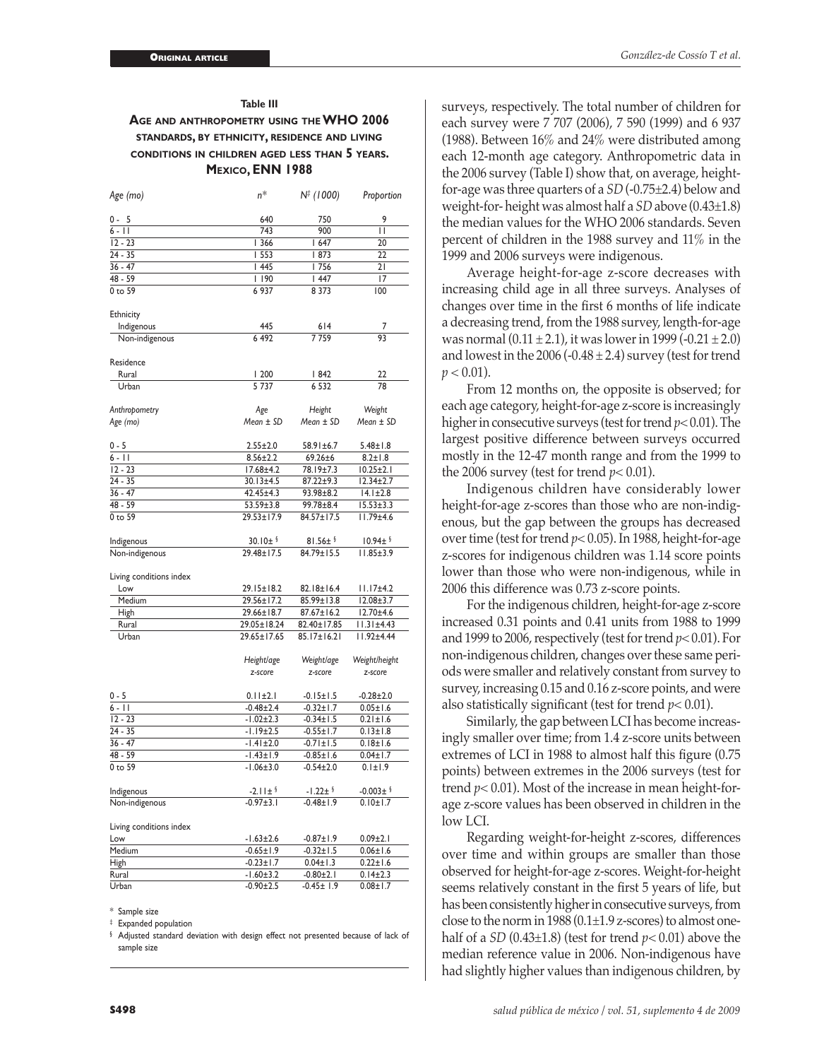# **Table III Age and anthropometry using the WHO 2006 standards, by ethnicity, residence and living conditions in children aged less than 5 years. Mexico, ENN 1988**

| $0 - 5$<br>640<br>750<br>9<br>П<br>$6 - 11$<br>743<br>900<br>$12 - 23$<br>  366<br>1647<br>20<br>$24 - 35$<br>  553<br>  873<br>22<br>$36 - 47$<br>1445<br>  756<br>21<br>48 - 59<br>  190<br>1447<br>17<br>0 to 59<br>6 9 3 7<br>8 3 7 3<br>100<br>Ethnicity<br>445<br>614<br>Indigenous<br>7<br>93<br>6 492<br>7759<br>Non-indigenous<br>Residence<br>1200<br>1842<br>Rural<br>22<br>5 7 3 7<br>6532<br>78<br>Urban<br>Anthropometry<br>Height<br>Age<br>Weight<br>Age (mo)<br>$Mean \pm SD$<br>Mean ± SD<br>$Mean \pm SD$<br>$0 - 5$<br>$2.55 \pm 2.0$<br>58.91±6.7<br>$5.48 \pm 1.8$<br>$6 - 11$<br>$8.56 \pm 2.2$<br>69.26±6<br>$8.2 \pm 1.8$<br>$12 - 23$<br>17.68±4.2<br>78.19±7.3<br>$10.25 \pm 2.1$<br>$24 - 35$<br>30.13±4.5<br>87.22±9.3<br>$12.34 \pm 2.7$<br>$36 - 47$<br>42.45±4.3<br>93.98±8.2<br>$14.1 \pm 2.8$<br>48 - 59<br>53.59±3.8<br>99.78±8.4<br>$15.53 \pm 3.3$<br>0 to 59<br>$29.53 \pm 17.9$<br>84.57±17.5<br>$11.79{\pm}4.6$<br>$30.10 \pm 1$<br>$81.56 \pm 1$<br>$10.94 \pm 1$<br>Indigenous<br>$\overline{29.48 \pm 17.5}$<br>$84.79 \pm 15.5$<br>Non-indigenous<br>$11.85 \pm 3.9$<br>Living conditions index<br>$29.15 \pm 18.2$<br>82.18±16.4<br>11.17±4.2<br>Low<br>Medium<br>29.56±17.2<br>85.99±13.8<br>$12.08 + 3.7$<br>29.66±18.7<br>$87.67 \pm 16.2$<br>12.70±4.6<br>High<br>29.05±18.24<br>Rural<br>82.40±17.85<br>$11.31 \pm 4.43$<br>Urban<br>29.65±17.65<br>85.17±16.21<br>II.92±4.44<br>Height/age<br>Weight/age<br>Weight/height<br>z-score<br>z-score<br>z-score<br>0 - 5<br>$0.11 \pm 2.1$<br>$-0.15 \pm 1.5$<br>$-0.28 \pm 2.0$<br>$6 - 11$<br>$-0.48 \pm 2.4$<br>$-0.32 \pm 1.7$<br>$0.05 \pm 1.6$<br>$12 - 23$<br>$-1.02 \pm 2.3$<br>$-0.34 \pm 1.5$<br>$0.21 \pm 1.6$ | Age (mo) | $n^*$ | N‡ (1000) | Proportion |
|-------------------------------------------------------------------------------------------------------------------------------------------------------------------------------------------------------------------------------------------------------------------------------------------------------------------------------------------------------------------------------------------------------------------------------------------------------------------------------------------------------------------------------------------------------------------------------------------------------------------------------------------------------------------------------------------------------------------------------------------------------------------------------------------------------------------------------------------------------------------------------------------------------------------------------------------------------------------------------------------------------------------------------------------------------------------------------------------------------------------------------------------------------------------------------------------------------------------------------------------------------------------------------------------------------------------------------------------------------------------------------------------------------------------------------------------------------------------------------------------------------------------------------------------------------------------------------------------------------------------------------------------------------------------------------------------------------------------------|----------|-------|-----------|------------|
|                                                                                                                                                                                                                                                                                                                                                                                                                                                                                                                                                                                                                                                                                                                                                                                                                                                                                                                                                                                                                                                                                                                                                                                                                                                                                                                                                                                                                                                                                                                                                                                                                                                                                                                         |          |       |           |            |
|                                                                                                                                                                                                                                                                                                                                                                                                                                                                                                                                                                                                                                                                                                                                                                                                                                                                                                                                                                                                                                                                                                                                                                                                                                                                                                                                                                                                                                                                                                                                                                                                                                                                                                                         |          |       |           |            |
|                                                                                                                                                                                                                                                                                                                                                                                                                                                                                                                                                                                                                                                                                                                                                                                                                                                                                                                                                                                                                                                                                                                                                                                                                                                                                                                                                                                                                                                                                                                                                                                                                                                                                                                         |          |       |           |            |
|                                                                                                                                                                                                                                                                                                                                                                                                                                                                                                                                                                                                                                                                                                                                                                                                                                                                                                                                                                                                                                                                                                                                                                                                                                                                                                                                                                                                                                                                                                                                                                                                                                                                                                                         |          |       |           |            |
|                                                                                                                                                                                                                                                                                                                                                                                                                                                                                                                                                                                                                                                                                                                                                                                                                                                                                                                                                                                                                                                                                                                                                                                                                                                                                                                                                                                                                                                                                                                                                                                                                                                                                                                         |          |       |           |            |
|                                                                                                                                                                                                                                                                                                                                                                                                                                                                                                                                                                                                                                                                                                                                                                                                                                                                                                                                                                                                                                                                                                                                                                                                                                                                                                                                                                                                                                                                                                                                                                                                                                                                                                                         |          |       |           |            |
|                                                                                                                                                                                                                                                                                                                                                                                                                                                                                                                                                                                                                                                                                                                                                                                                                                                                                                                                                                                                                                                                                                                                                                                                                                                                                                                                                                                                                                                                                                                                                                                                                                                                                                                         |          |       |           |            |
|                                                                                                                                                                                                                                                                                                                                                                                                                                                                                                                                                                                                                                                                                                                                                                                                                                                                                                                                                                                                                                                                                                                                                                                                                                                                                                                                                                                                                                                                                                                                                                                                                                                                                                                         |          |       |           |            |
|                                                                                                                                                                                                                                                                                                                                                                                                                                                                                                                                                                                                                                                                                                                                                                                                                                                                                                                                                                                                                                                                                                                                                                                                                                                                                                                                                                                                                                                                                                                                                                                                                                                                                                                         |          |       |           |            |
|                                                                                                                                                                                                                                                                                                                                                                                                                                                                                                                                                                                                                                                                                                                                                                                                                                                                                                                                                                                                                                                                                                                                                                                                                                                                                                                                                                                                                                                                                                                                                                                                                                                                                                                         |          |       |           |            |
|                                                                                                                                                                                                                                                                                                                                                                                                                                                                                                                                                                                                                                                                                                                                                                                                                                                                                                                                                                                                                                                                                                                                                                                                                                                                                                                                                                                                                                                                                                                                                                                                                                                                                                                         |          |       |           |            |
|                                                                                                                                                                                                                                                                                                                                                                                                                                                                                                                                                                                                                                                                                                                                                                                                                                                                                                                                                                                                                                                                                                                                                                                                                                                                                                                                                                                                                                                                                                                                                                                                                                                                                                                         |          |       |           |            |
|                                                                                                                                                                                                                                                                                                                                                                                                                                                                                                                                                                                                                                                                                                                                                                                                                                                                                                                                                                                                                                                                                                                                                                                                                                                                                                                                                                                                                                                                                                                                                                                                                                                                                                                         |          |       |           |            |
|                                                                                                                                                                                                                                                                                                                                                                                                                                                                                                                                                                                                                                                                                                                                                                                                                                                                                                                                                                                                                                                                                                                                                                                                                                                                                                                                                                                                                                                                                                                                                                                                                                                                                                                         |          |       |           |            |
|                                                                                                                                                                                                                                                                                                                                                                                                                                                                                                                                                                                                                                                                                                                                                                                                                                                                                                                                                                                                                                                                                                                                                                                                                                                                                                                                                                                                                                                                                                                                                                                                                                                                                                                         |          |       |           |            |
|                                                                                                                                                                                                                                                                                                                                                                                                                                                                                                                                                                                                                                                                                                                                                                                                                                                                                                                                                                                                                                                                                                                                                                                                                                                                                                                                                                                                                                                                                                                                                                                                                                                                                                                         |          |       |           |            |
|                                                                                                                                                                                                                                                                                                                                                                                                                                                                                                                                                                                                                                                                                                                                                                                                                                                                                                                                                                                                                                                                                                                                                                                                                                                                                                                                                                                                                                                                                                                                                                                                                                                                                                                         |          |       |           |            |
|                                                                                                                                                                                                                                                                                                                                                                                                                                                                                                                                                                                                                                                                                                                                                                                                                                                                                                                                                                                                                                                                                                                                                                                                                                                                                                                                                                                                                                                                                                                                                                                                                                                                                                                         |          |       |           |            |
|                                                                                                                                                                                                                                                                                                                                                                                                                                                                                                                                                                                                                                                                                                                                                                                                                                                                                                                                                                                                                                                                                                                                                                                                                                                                                                                                                                                                                                                                                                                                                                                                                                                                                                                         |          |       |           |            |
|                                                                                                                                                                                                                                                                                                                                                                                                                                                                                                                                                                                                                                                                                                                                                                                                                                                                                                                                                                                                                                                                                                                                                                                                                                                                                                                                                                                                                                                                                                                                                                                                                                                                                                                         |          |       |           |            |
|                                                                                                                                                                                                                                                                                                                                                                                                                                                                                                                                                                                                                                                                                                                                                                                                                                                                                                                                                                                                                                                                                                                                                                                                                                                                                                                                                                                                                                                                                                                                                                                                                                                                                                                         |          |       |           |            |
|                                                                                                                                                                                                                                                                                                                                                                                                                                                                                                                                                                                                                                                                                                                                                                                                                                                                                                                                                                                                                                                                                                                                                                                                                                                                                                                                                                                                                                                                                                                                                                                                                                                                                                                         |          |       |           |            |
|                                                                                                                                                                                                                                                                                                                                                                                                                                                                                                                                                                                                                                                                                                                                                                                                                                                                                                                                                                                                                                                                                                                                                                                                                                                                                                                                                                                                                                                                                                                                                                                                                                                                                                                         |          |       |           |            |
|                                                                                                                                                                                                                                                                                                                                                                                                                                                                                                                                                                                                                                                                                                                                                                                                                                                                                                                                                                                                                                                                                                                                                                                                                                                                                                                                                                                                                                                                                                                                                                                                                                                                                                                         |          |       |           |            |
|                                                                                                                                                                                                                                                                                                                                                                                                                                                                                                                                                                                                                                                                                                                                                                                                                                                                                                                                                                                                                                                                                                                                                                                                                                                                                                                                                                                                                                                                                                                                                                                                                                                                                                                         |          |       |           |            |
|                                                                                                                                                                                                                                                                                                                                                                                                                                                                                                                                                                                                                                                                                                                                                                                                                                                                                                                                                                                                                                                                                                                                                                                                                                                                                                                                                                                                                                                                                                                                                                                                                                                                                                                         |          |       |           |            |
|                                                                                                                                                                                                                                                                                                                                                                                                                                                                                                                                                                                                                                                                                                                                                                                                                                                                                                                                                                                                                                                                                                                                                                                                                                                                                                                                                                                                                                                                                                                                                                                                                                                                                                                         |          |       |           |            |
|                                                                                                                                                                                                                                                                                                                                                                                                                                                                                                                                                                                                                                                                                                                                                                                                                                                                                                                                                                                                                                                                                                                                                                                                                                                                                                                                                                                                                                                                                                                                                                                                                                                                                                                         |          |       |           |            |
|                                                                                                                                                                                                                                                                                                                                                                                                                                                                                                                                                                                                                                                                                                                                                                                                                                                                                                                                                                                                                                                                                                                                                                                                                                                                                                                                                                                                                                                                                                                                                                                                                                                                                                                         |          |       |           |            |
|                                                                                                                                                                                                                                                                                                                                                                                                                                                                                                                                                                                                                                                                                                                                                                                                                                                                                                                                                                                                                                                                                                                                                                                                                                                                                                                                                                                                                                                                                                                                                                                                                                                                                                                         |          |       |           |            |
|                                                                                                                                                                                                                                                                                                                                                                                                                                                                                                                                                                                                                                                                                                                                                                                                                                                                                                                                                                                                                                                                                                                                                                                                                                                                                                                                                                                                                                                                                                                                                                                                                                                                                                                         |          |       |           |            |
|                                                                                                                                                                                                                                                                                                                                                                                                                                                                                                                                                                                                                                                                                                                                                                                                                                                                                                                                                                                                                                                                                                                                                                                                                                                                                                                                                                                                                                                                                                                                                                                                                                                                                                                         |          |       |           |            |
|                                                                                                                                                                                                                                                                                                                                                                                                                                                                                                                                                                                                                                                                                                                                                                                                                                                                                                                                                                                                                                                                                                                                                                                                                                                                                                                                                                                                                                                                                                                                                                                                                                                                                                                         |          |       |           |            |
|                                                                                                                                                                                                                                                                                                                                                                                                                                                                                                                                                                                                                                                                                                                                                                                                                                                                                                                                                                                                                                                                                                                                                                                                                                                                                                                                                                                                                                                                                                                                                                                                                                                                                                                         |          |       |           |            |
|                                                                                                                                                                                                                                                                                                                                                                                                                                                                                                                                                                                                                                                                                                                                                                                                                                                                                                                                                                                                                                                                                                                                                                                                                                                                                                                                                                                                                                                                                                                                                                                                                                                                                                                         |          |       |           |            |
|                                                                                                                                                                                                                                                                                                                                                                                                                                                                                                                                                                                                                                                                                                                                                                                                                                                                                                                                                                                                                                                                                                                                                                                                                                                                                                                                                                                                                                                                                                                                                                                                                                                                                                                         |          |       |           |            |
|                                                                                                                                                                                                                                                                                                                                                                                                                                                                                                                                                                                                                                                                                                                                                                                                                                                                                                                                                                                                                                                                                                                                                                                                                                                                                                                                                                                                                                                                                                                                                                                                                                                                                                                         |          |       |           |            |
|                                                                                                                                                                                                                                                                                                                                                                                                                                                                                                                                                                                                                                                                                                                                                                                                                                                                                                                                                                                                                                                                                                                                                                                                                                                                                                                                                                                                                                                                                                                                                                                                                                                                                                                         |          |       |           |            |
|                                                                                                                                                                                                                                                                                                                                                                                                                                                                                                                                                                                                                                                                                                                                                                                                                                                                                                                                                                                                                                                                                                                                                                                                                                                                                                                                                                                                                                                                                                                                                                                                                                                                                                                         |          |       |           |            |
| $24 - 35$<br>$-1.19 \pm 2.5$<br>$-0.55 \pm 1.7$<br>$0.13 \pm 1.8$                                                                                                                                                                                                                                                                                                                                                                                                                                                                                                                                                                                                                                                                                                                                                                                                                                                                                                                                                                                                                                                                                                                                                                                                                                                                                                                                                                                                                                                                                                                                                                                                                                                       |          |       |           |            |
| $36 - 47$<br>$-1.41 \pm 2.0$<br>$-0.71 \pm 1.5$<br>$0.18 \pm 1.6$                                                                                                                                                                                                                                                                                                                                                                                                                                                                                                                                                                                                                                                                                                                                                                                                                                                                                                                                                                                                                                                                                                                                                                                                                                                                                                                                                                                                                                                                                                                                                                                                                                                       |          |       |           |            |
| $48 - 59$<br>$-1.43 \pm 1.9$<br>$-0.85 \pm 1.6$<br>$0.04 \pm 1.7$                                                                                                                                                                                                                                                                                                                                                                                                                                                                                                                                                                                                                                                                                                                                                                                                                                                                                                                                                                                                                                                                                                                                                                                                                                                                                                                                                                                                                                                                                                                                                                                                                                                       |          |       |           |            |
| $0$ to 59<br>$-1.06 \pm 3.0$<br>$-0.54 \pm 2.0$<br>$0.1 \pm 1.9$                                                                                                                                                                                                                                                                                                                                                                                                                                                                                                                                                                                                                                                                                                                                                                                                                                                                                                                                                                                                                                                                                                                                                                                                                                                                                                                                                                                                                                                                                                                                                                                                                                                        |          |       |           |            |
| $-2.11 \pm 9$<br>$-1.22 \pm 9$<br>$-0.003 \pm 1$<br>Indigenous                                                                                                                                                                                                                                                                                                                                                                                                                                                                                                                                                                                                                                                                                                                                                                                                                                                                                                                                                                                                                                                                                                                                                                                                                                                                                                                                                                                                                                                                                                                                                                                                                                                          |          |       |           |            |
| $-0.97 \pm 3.1$<br>$-0.48 \pm 1.9$<br>$0.10 \pm 1.7$<br>Non-indigenous                                                                                                                                                                                                                                                                                                                                                                                                                                                                                                                                                                                                                                                                                                                                                                                                                                                                                                                                                                                                                                                                                                                                                                                                                                                                                                                                                                                                                                                                                                                                                                                                                                                  |          |       |           |            |
|                                                                                                                                                                                                                                                                                                                                                                                                                                                                                                                                                                                                                                                                                                                                                                                                                                                                                                                                                                                                                                                                                                                                                                                                                                                                                                                                                                                                                                                                                                                                                                                                                                                                                                                         |          |       |           |            |
| Living conditions index                                                                                                                                                                                                                                                                                                                                                                                                                                                                                                                                                                                                                                                                                                                                                                                                                                                                                                                                                                                                                                                                                                                                                                                                                                                                                                                                                                                                                                                                                                                                                                                                                                                                                                 |          |       |           |            |
| $-1.63 \pm 2.6$<br>$-0.87 \pm 1.9$<br>$0.09 \pm 2.1$<br>Low                                                                                                                                                                                                                                                                                                                                                                                                                                                                                                                                                                                                                                                                                                                                                                                                                                                                                                                                                                                                                                                                                                                                                                                                                                                                                                                                                                                                                                                                                                                                                                                                                                                             |          |       |           |            |
| Medium<br>$-0.65 \pm 1.9$<br>$-0.32 \pm 1.5$<br>$0.06 \pm 1.6$                                                                                                                                                                                                                                                                                                                                                                                                                                                                                                                                                                                                                                                                                                                                                                                                                                                                                                                                                                                                                                                                                                                                                                                                                                                                                                                                                                                                                                                                                                                                                                                                                                                          |          |       |           |            |
| $-0.23 \pm 1.7$<br>$0.04 \pm 1.3$<br>$0.22 \pm 1.6$<br><b>High</b>                                                                                                                                                                                                                                                                                                                                                                                                                                                                                                                                                                                                                                                                                                                                                                                                                                                                                                                                                                                                                                                                                                                                                                                                                                                                                                                                                                                                                                                                                                                                                                                                                                                      |          |       |           |            |
| $-1.60 \pm 3.2$<br>$-0.80 \pm 2.1$<br>$0.14 \pm 2.3$<br>Rural                                                                                                                                                                                                                                                                                                                                                                                                                                                                                                                                                                                                                                                                                                                                                                                                                                                                                                                                                                                                                                                                                                                                                                                                                                                                                                                                                                                                                                                                                                                                                                                                                                                           |          |       |           |            |
| $-0.45 \pm 1.9$<br>Urban<br>$-0.90 \pm 2.5$<br>$0.08 + 1.7$                                                                                                                                                                                                                                                                                                                                                                                                                                                                                                                                                                                                                                                                                                                                                                                                                                                                                                                                                                                                                                                                                                                                                                                                                                                                                                                                                                                                                                                                                                                                                                                                                                                             |          |       |           |            |

\* Sample size

‡ Expanded population

§ Adjusted standard deviation with design effect not presented because of lack of sample size

surveys, respectively. The total number of children for each survey were 7 707 (2006), 7 590 (1999) and 6 937 (1988). Between 16% and 24% were distributed among each 12-month age category. Anthropometric data in the 2006 survey (Table I) show that, on average, heightfor-age was three quarters of a *SD* (-0.75±2.4) below and weight-for- height was almost half a *SD* above (0.43±1.8) the median values for the WHO 2006 standards. Seven percent of children in the 1988 survey and 11% in the 1999 and 2006 surveys were indigenous.

Average height-for-age z-score decreases with increasing child age in all three surveys. Analyses of changes over time in the first 6 months of life indicate a decreasing trend, from the 1988 survey, length-for-age was normal  $(0.11 \pm 2.1)$ , it was lower in 1999 (-0.21  $\pm 2.0$ ) and lowest in the  $2006$  (-0.48  $\pm$  2.4) survey (test for trend  $p < 0.01$ ).

From 12 months on, the opposite is observed; for each age category, height-for-age z-score is increasingly higher in consecutive surveys (test for trend *p*< 0.01). The largest positive difference between surveys occurred mostly in the 12-47 month range and from the 1999 to the 2006 survey (test for trend  $p<$  0.01).

Indigenous children have considerably lower height-for-age z-scores than those who are non-indigenous, but the gap between the groups has decreased over time (test for trend *p*< 0.05). In 1988, height-for-age z-scores for indigenous children was 1.14 score points lower than those who were non-indigenous, while in 2006 this difference was 0.73 z-score points.

For the indigenous children, height-for-age z-score increased 0.31 points and 0.41 units from 1988 to 1999 and 1999 to 2006, respectively (test for trend *p*< 0.01). For non-indigenous children, changes over these same periods were smaller and relatively constant from survey to survey, increasing 0.15 and 0.16 z-score points, and were also statistically significant (test for trend *p*< 0.01).

Similarly, the gap between LCI has become increasingly smaller over time; from 1.4 z-score units between extremes of LCI in 1988 to almost half this figure (0.75 points) between extremes in the 2006 surveys (test for trend *p*< 0.01). Most of the increase in mean height-forage z-score values has been observed in children in the low LCI.

Regarding weight-for-height z-scores, differences over time and within groups are smaller than those observed for height-for-age z-scores. Weight-for-height seems relatively constant in the first 5 years of life, but has been consistently higher in consecutive surveys, from close to the norm in 1988 (0.1±1.9 z-scores) to almost onehalf of a *SD* (0.43±1.8) (test for trend *p<* 0.01) above the median reference value in 2006. Non-indigenous have had slightly higher values than indigenous children, by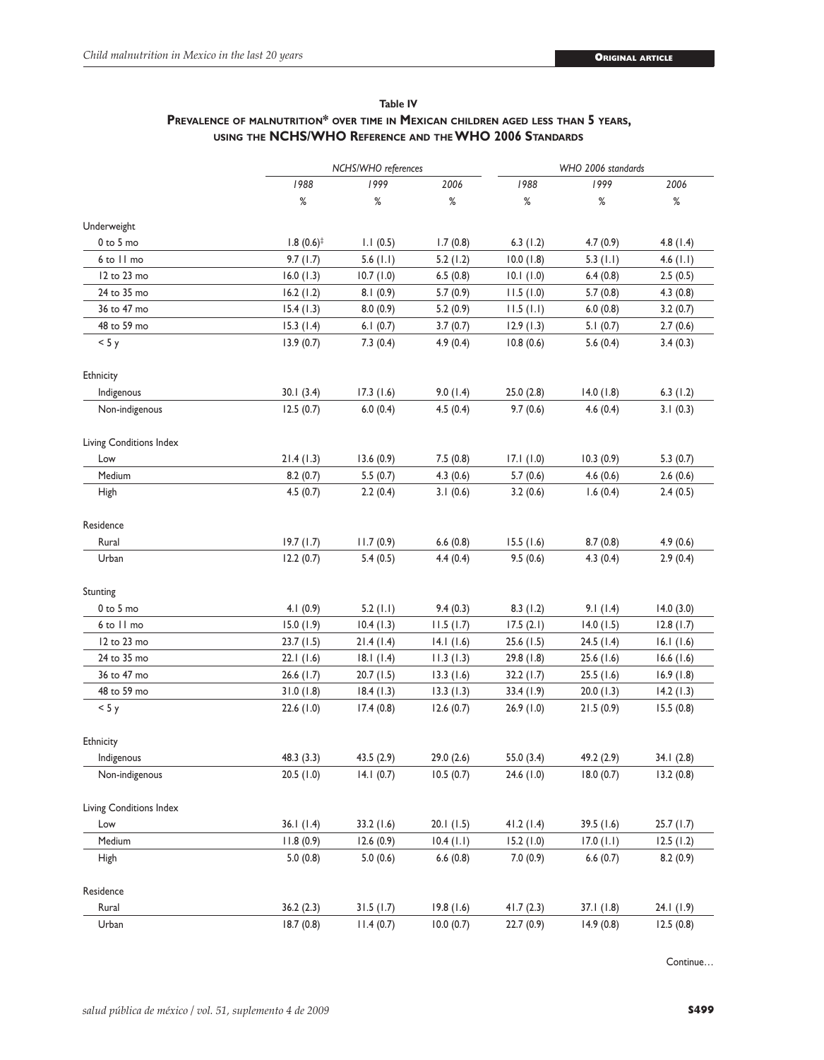# **Table IV Prevalence of malnutrition\* over time in Mexican children aged less than 5 years, using the NCHS/WHO Reference and the WHO 2006 Standards**

|                         |                       | NCHS/WHO references |           |            | WHO 2006 standards |             |  |  |
|-------------------------|-----------------------|---------------------|-----------|------------|--------------------|-------------|--|--|
|                         | 1988                  | 1999                | 2006      | 1988       | 1999               | 2006        |  |  |
|                         | $\%$                  | %                   | $\%$      | $\%$       | $\%$               | $\%$        |  |  |
| Underweight             |                       |                     |           |            |                    |             |  |  |
| $0$ to $5$ mo           | $1.8(0.6)^{\ddagger}$ | 1.1(0.5)            | 1.7(0.8)  | 6.3(1.2)   | 4.7(0.9)           | 4.8(1.4)    |  |  |
| 6 to 11 mo              | 9.7(1.7)              | $5.6$ (1.1)         | 5.2(1.2)  | 10.0(1.8)  | $5.3$ (1.1)        | 4.6 $(1.1)$ |  |  |
| 12 to 23 mo             | 16.0(1.3)             | 10.7(1.0)           | 6.5(0.8)  | 10.1(1.0)  | 6.4(0.8)           | 2.5(0.5)    |  |  |
| 24 to 35 mo             | 16.2(1.2)             | 8.1(0.9)            | 5.7(0.9)  | 11.5(1.0)  | 5.7(0.8)           | 4.3(0.8)    |  |  |
| 36 to 47 mo             | 15.4(1.3)             | 8.0(0.9)            | 5.2(0.9)  | 11.5(1.1)  | 6.0(0.8)           | 3.2(0.7)    |  |  |
| 48 to 59 mo             | 15.3(1.4)             | 6.1(0.7)            | 3.7(0.7)  | 12.9(1.3)  | 5.1(0.7)           | 2.7(0.6)    |  |  |
| < 5y                    | 13.9(0.7)             | 7.3(0.4)            | 4.9 (0.4) | 10.8(0.6)  | 5.6(0.4)           | 3.4(0.3)    |  |  |
| Ethnicity               |                       |                     |           |            |                    |             |  |  |
| Indigenous              | 30.1(3.4)             | 17.3(1.6)           | 9.0(1.4)  | 25.0(2.8)  | 14.0(1.8)          | 6.3(1.2)    |  |  |
| Non-indigenous          | 12.5(0.7)             | 6.0(0.4)            | 4.5(0.4)  | 9.7(0.6)   | 4.6(0.4)           | 3.1(0.3)    |  |  |
| Living Conditions Index |                       |                     |           |            |                    |             |  |  |
| Low                     | 21.4(1.3)             | 13.6(0.9)           | 7.5(0.8)  | 17.1(1.0)  | 10.3(0.9)          | 5.3(0.7)    |  |  |
| Medium                  | 8.2(0.7)              | 5.5(0.7)            | 4.3(0.6)  | 5.7(0.6)   | 4.6(0.6)           | 2.6(0.6)    |  |  |
| High                    | 4.5(0.7)              | 2.2(0.4)            | 3.1(0.6)  | 3.2(0.6)   | 1.6(0.4)           | 2.4(0.5)    |  |  |
| Residence               |                       |                     |           |            |                    |             |  |  |
| Rural                   | 19.7(1.7)             | 11.7(0.9)           | 6.6(0.8)  | 15.5(1.6)  | 8.7(0.8)           | 4.9(0.6)    |  |  |
| Urban                   | 12.2(0.7)             | 5.4(0.5)            | 4.4 (0.4) | 9.5(0.6)   | 4.3(0.4)           | 2.9(0.4)    |  |  |
| Stunting                |                       |                     |           |            |                    |             |  |  |
| $0$ to $5$ mo           | 4.1(0.9)              | 5.2(1.1)            | 9.4(0.3)  | 8.3(1.2)   | 9.1(1.4)           | 14.0(3.0)   |  |  |
| 6 to 11 mo              | 15.0(1.9)             | 10.4(1.3)           | 11.5(1.7) | 17.5(2.1)  | 14.0(1.5)          | 12.8(1.7)   |  |  |
| 12 to 23 mo             | 23.7(1.5)             | 21.4(1.4)           | 14.1(1.6) | 25.6 (1.5) | 24.5(1.4)          | 16.1(1.6)   |  |  |
| 24 to 35 mo             | 22.1 (1.6)            | 18.1(1.4)           | 11.3(1.3) | 29.8 (1.8) | 25.6(1.6)          | 16.6(1.6)   |  |  |
| 36 to 47 mo             | 26.6(1.7)             | 20.7(1.5)           | 13.3(1.6) | 32.2 (1.7) | 25.5(1.6)          | 16.9(1.8)   |  |  |
| 48 to 59 mo             | 31.0(1.8)             | 18.4(1.3)           | 13.3(1.3) | 33.4 (1.9) | 20.0(1.3)          | 14.2(1.3)   |  |  |
| < 5 y                   | 22.6(1.0)             | 17.4(0.8)           | 12.6(0.7) | 26.9 (1.0) | 21.5(0.9)          | 15.5(0.8)   |  |  |
| Ethnicity               |                       |                     |           |            |                    |             |  |  |
| Indigenous              | 48.3 (3.3)            | 43.5(2.9)           | 29.0(2.6) | 55.0 (3.4) | 49.2 (2.9)         | 34.1(2.8)   |  |  |
| Non-indigenous          | 20.5(1.0)             | 14.1(0.7)           | 10.5(0.7) | 24.6 (1.0) | 18.0(0.7)          | 13.2(0.8)   |  |  |
| Living Conditions Index |                       |                     |           |            |                    |             |  |  |
| Low                     | 36.1(1.4)             | 33.2 (1.6)          | 20.1(1.5) | 41.2(1.4)  | 39.5 (1.6)         | 25.7(1.7)   |  |  |
| Medium                  | 11.8(0.9)             | 12.6(0.9)           | 10.4(1.1) | 15.2(1.0)  | 17.0 (1.1)         | 12.5(1.2)   |  |  |
| High                    | 5.0(0.8)              | 5.0(0.6)            | 6.6(0.8)  | 7.0(0.9)   | 6.6(0.7)           | 8.2(0.9)    |  |  |
| Residence               |                       |                     |           |            |                    |             |  |  |
| Rural                   | 36.2(2.3)             | 31.5(1.7)           | 19.8(1.6) | 41.7(2.3)  | 37.1(1.8)          | 24.1(1.9)   |  |  |
| Urban                   | 18.7(0.8)             | 11.4(0.7)           | 10.0(0.7) | 22.7(0.9)  | 14.9(0.8)          | 12.5(0.8)   |  |  |

Continue…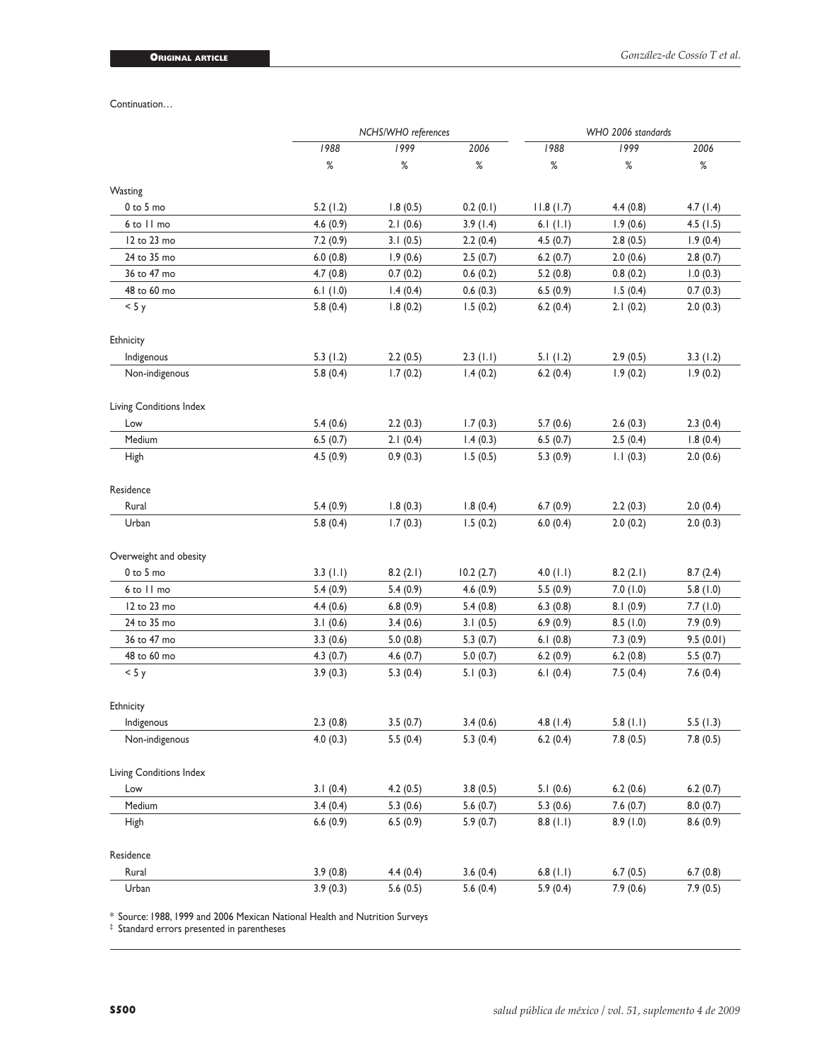Continuation…

|                         | NCHS/WHO references |          |           | WHO 2006 standards |          |           |  |
|-------------------------|---------------------|----------|-----------|--------------------|----------|-----------|--|
|                         | 1988                | 1999     | 2006      | 1988               | 1999     | 2006      |  |
|                         | $\%$                | $\%$     | %         | $\%$               | ℅        | $\%$      |  |
| Wasting                 |                     |          |           |                    |          |           |  |
| $0$ to $5$ mo           | 5.2(1.2)            | 1.8(0.5) | 0.2(0.1)  | 11.8(1.7)          | 4.4(0.8) | 4.7(1.4)  |  |
| 6 to 11 mo              | 4.6(0.9)            | 2.1(0.6) | 3.9(1.4)  | 6.1 $(1.1)$        | 1.9(0.6) | 4.5(1.5)  |  |
| 12 to 23 mo             | 7.2(0.9)            | 3.1(0.5) | 2.2(0.4)  | 4.5(0.7)           | 2.8(0.5) | 1.9(0.4)  |  |
| 24 to 35 mo             | 6.0(0.8)            | 1.9(0.6) | 2.5(0.7)  | 6.2(0.7)           | 2.0(0.6) | 2.8(0.7)  |  |
| 36 to 47 mo             | 4.7(0.8)            | 0.7(0.2) | 0.6(0.2)  | 5.2(0.8)           | 0.8(0.2) | 1.0(0.3)  |  |
| 48 to 60 mo             | 6.1(1.0)            | 1.4(0.4) | 0.6(0.3)  | 6.5(0.9)           | 1.5(0.4) | 0.7(0.3)  |  |
| < 5y                    | 5.8(0.4)            | 1.8(0.2) | 1.5(0.2)  | 6.2(0.4)           | 2.1(0.2) | 2.0(0.3)  |  |
| Ethnicity               |                     |          |           |                    |          |           |  |
| Indigenous              | 5.3(1.2)            | 2.2(0.5) | 2.3(1.1)  | 5.1(1.2)           | 2.9(0.5) | 3.3(1.2)  |  |
| Non-indigenous          | 5.8(0.4)            | 1.7(0.2) | 1.4(0.2)  | 6.2(0.4)           | 1.9(0.2) | 1.9(0.2)  |  |
| Living Conditions Index |                     |          |           |                    |          |           |  |
| Low                     | 5.4(0.6)            | 2.2(0.3) | 1.7(0.3)  | 5.7(0.6)           | 2.6(0.3) | 2.3(0.4)  |  |
| Medium                  | 6.5(0.7)            | 2.1(0.4) | 1.4(0.3)  | 6.5(0.7)           | 2.5(0.4) | 1.8(0.4)  |  |
| High                    | 4.5(0.9)            | 0.9(0.3) | 1.5(0.5)  | 5.3(0.9)           | 1.1(0.3) | 2.0(0.6)  |  |
| Residence               |                     |          |           |                    |          |           |  |
| Rural                   | 5.4(0.9)            | 1.8(0.3) | 1.8(0.4)  | 6.7(0.9)           | 2.2(0.3) | 2.0(0.4)  |  |
| Urban                   | 5.8(0.4)            | 1.7(0.3) | 1.5(0.2)  | 6.0(0.4)           | 2.0(0.2) | 2.0(0.3)  |  |
| Overweight and obesity  |                     |          |           |                    |          |           |  |
| 0 to 5 mo               | 3.3(1.1)            | 8.2(2.1) | 10.2(2.7) | $4.0$ (1.1)        | 8.2(2.1) | 8.7(2.4)  |  |
| 6 to 11 mo              | 5.4(0.9)            | 5.4(0.9) | 4.6(0.9)  | 5.5(0.9)           | 7.0(1.0) | 5.8(1.0)  |  |
| 12 to 23 mo             | 4.4(0.6)            | 6.8(0.9) | 5.4(0.8)  | 6.3(0.8)           | 8.1(0.9) | 7.7(1.0)  |  |
| 24 to 35 mo             | 3.1(0.6)            | 3.4(0.6) | 3.1(0.5)  | 6.9(0.9)           | 8.5(1.0) | 7.9(0.9)  |  |
| 36 to 47 mo             | 3.3(0.6)            | 5.0(0.8) | 5.3(0.7)  | 6.1(0.8)           | 7.3(0.9) | 9.5(0.01) |  |
| 48 to 60 mo             | 4.3(0.7)            | 4.6(0.7) | 5.0(0.7)  | 6.2(0.9)           | 6.2(0.8) | 5.5(0.7)  |  |
| < 5y                    | 3.9(0.3)            | 5.3(0.4) | 5.1(0.3)  | 6.1(0.4)           | 7.5(0.4) | 7.6(0.4)  |  |
| Ethnicity               |                     |          |           |                    |          |           |  |
| Indigenous              | 2.3(0.8)            | 3.5(0.7) | 3.4(0.6)  | 4.8(1.4)           | 5.8(1.1) | 5.5(1.3)  |  |
| Non-indigenous          | 4.0(0.3)            | 5.5(0.4) | 5.3(0.4)  | 6.2(0.4)           | 7.8(0.5) | 7.8(0.5)  |  |
| Living Conditions Index |                     |          |           |                    |          |           |  |
| Low                     | 3.1(0.4)            | 4.2(0.5) | 3.8(0.5)  | 5.1(0.6)           | 6.2(0.6) | 6.2(0.7)  |  |
| Medium                  | 3.4(0.4)            | 5.3(0.6) | 5.6(0.7)  | 5.3(0.6)           | 7.6(0.7) | 8.0(0.7)  |  |
| High                    | 6.6(0.9)            | 6.5(0.9) | 5.9(0.7)  | 8.8(1.1)           | 8.9(1.0) | 8.6(0.9)  |  |
| Residence               |                     |          |           |                    |          |           |  |
| Rural                   | 3.9(0.8)            | 4.4(0.4) | 3.6(0.4)  | 6.8(1.1)           | 6.7(0.5) | 6.7(0.8)  |  |
| Urban                   | 3.9(0.3)            | 5.6(0.5) | 5.6(0.4)  | 5.9(0.4)           | 7.9(0.6) | 7.9(0.5)  |  |

\* Source: 1988, 1999 and 2006 Mexican National Health and Nutrition Surveys

‡ Standard errors presented in parentheses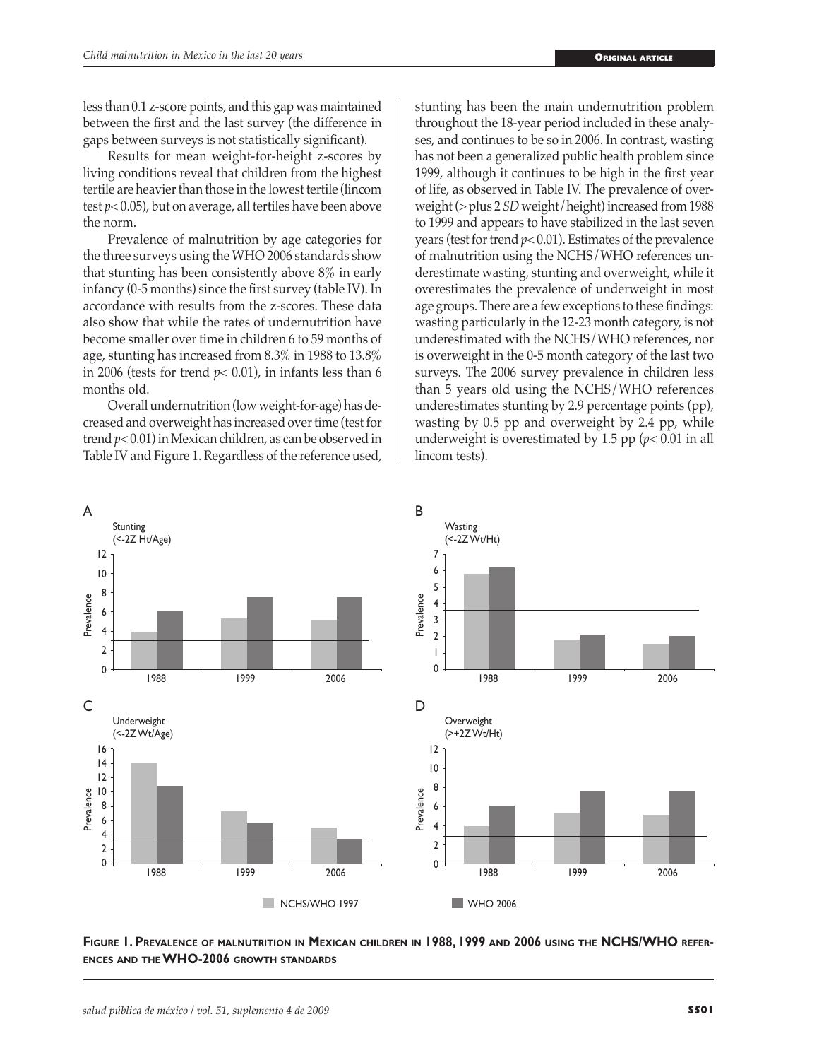less than 0.1 z-score points, and this gap was maintained between the first and the last survey (the difference in gaps between surveys is not statistically significant).

Results for mean weight-for-height z-scores by living conditions reveal that children from the highest tertile are heavier than those in the lowest tertile (lincom test *p*< 0.05), but on average, all tertiles have been above the norm.

Prevalence of malnutrition by age categories for the three surveys using the WHO 2006 standards show that stunting has been consistently above 8% in early infancy (0-5 months) since the first survey (table IV). In accordance with results from the z-scores. These data also show that while the rates of undernutrition have become smaller over time in children 6 to 59 months of age, stunting has increased from 8.3% in 1988 to 13.8% in 2006 (tests for trend  $p < 0.01$ ), in infants less than 6 months old.

Overall undernutrition (low weight-for-age) has decreased and overweight has increased over time (test for trend *p*< 0.01) in Mexican children, as can be observed in Table IV and Figure 1. Regardless of the reference used,

stunting has been the main undernutrition problem throughout the 18-year period included in these analyses, and continues to be so in 2006. In contrast, wasting has not been a generalized public health problem since 1999, although it continues to be high in the first year of life, as observed in Table IV. The prevalence of overweight (> plus 2 *SD* weight/height) increased from 1988 to 1999 and appears to have stabilized in the last seven years (test for trend *p*< 0.01). Estimates of the prevalence of malnutrition using the NCHS/WHO references underestimate wasting, stunting and overweight, while it overestimates the prevalence of underweight in most age groups. There are a few exceptions to these findings: wasting particularly in the 12-23 month category, is not underestimated with the NCHS/WHO references, nor is overweight in the 0-5 month category of the last two surveys. The 2006 survey prevalence in children less than 5 years old using the NCHS/WHO references underestimates stunting by 2.9 percentage points (pp), wasting by 0.5 pp and overweight by 2.4 pp, while underweight is overestimated by 1.5 pp ( $p$ < 0.01 in all lincom tests).



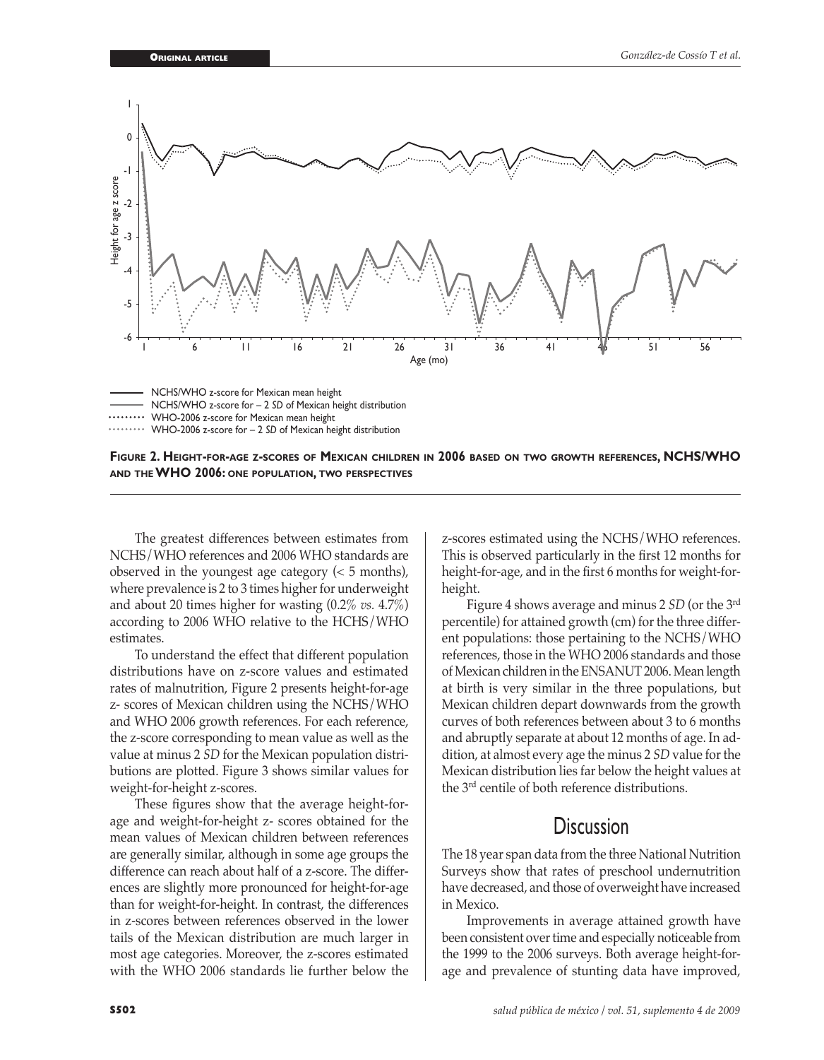



The greatest differences between estimates from NCHS/WHO references and 2006 WHO standards are observed in the youngest age category  $(< 5$  months), where prevalence is 2 to 3 times higher for underweight and about 20 times higher for wasting (0.2% *vs.* 4.7%) according to 2006 WHO relative to the HCHS/WHO estimates.

To understand the effect that different population distributions have on z-score values and estimated rates of malnutrition, Figure 2 presents height-for-age z- scores of Mexican children using the NCHS/WHO and WHO 2006 growth references. For each reference, the z-score corresponding to mean value as well as the value at minus 2 *SD* for the Mexican population distributions are plotted. Figure 3 shows similar values for weight-for-height z-scores.

These figures show that the average height-forage and weight-for-height z- scores obtained for the mean values of Mexican children between references are generally similar, although in some age groups the difference can reach about half of a z-score. The differences are slightly more pronounced for height-for-age than for weight-for-height. In contrast, the differences in z-scores between references observed in the lower tails of the Mexican distribution are much larger in most age categories. Moreover, the z-scores estimated with the WHO 2006 standards lie further below the

z-scores estimated using the NCHS/WHO references. This is observed particularly in the first 12 months for height-for-age, and in the first 6 months for weight-forheight.

Figure 4 shows average and minus 2 *SD* (or the 3rd percentile) for attained growth (cm) for the three different populations: those pertaining to the NCHS/WHO references, those in the WHO 2006 standards and those of Mexican children in the ENSANUT 2006. Mean length at birth is very similar in the three populations, but Mexican children depart downwards from the growth curves of both references between about 3 to 6 months and abruptly separate at about 12 months of age. In addition, at almost every age the minus 2 *SD* value for the Mexican distribution lies far below the height values at the 3rd centile of both reference distributions.

# **Discussion**

The 18 year span data from the three National Nutrition Surveys show that rates of preschool undernutrition have decreased, and those of overweight have increased in Mexico.

Improvements in average attained growth have been consistent over time and especially noticeable from the 1999 to the 2006 surveys. Both average height-forage and prevalence of stunting data have improved,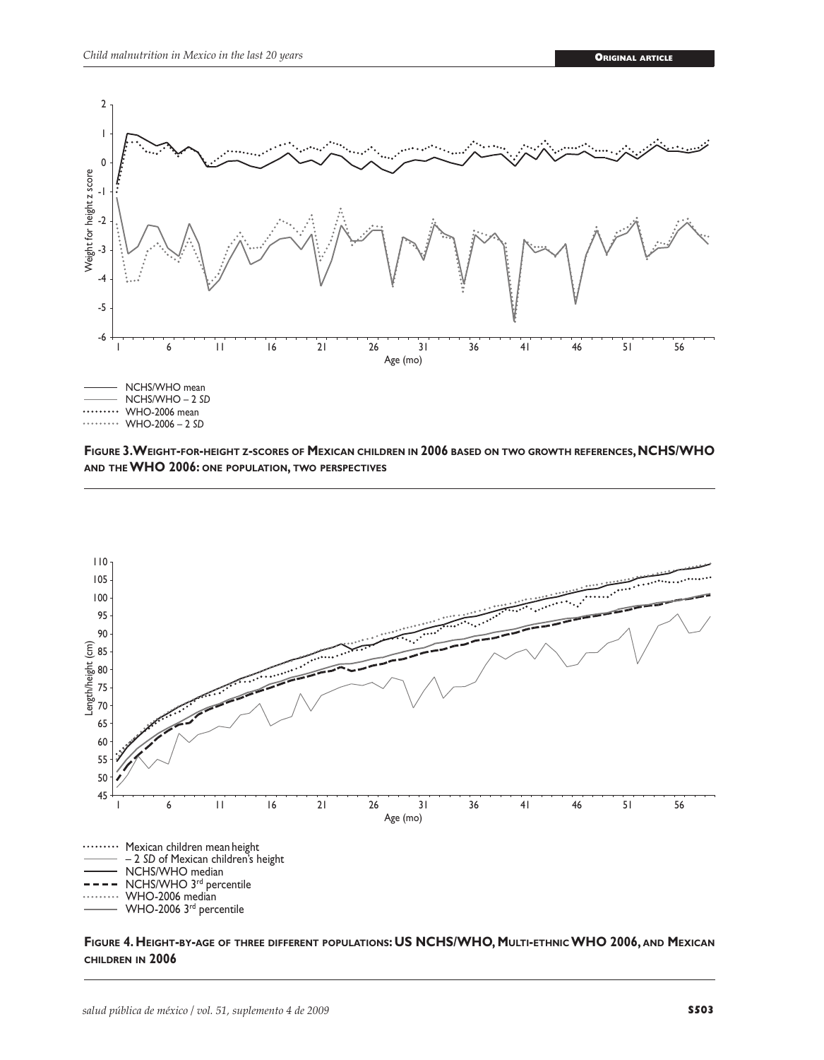





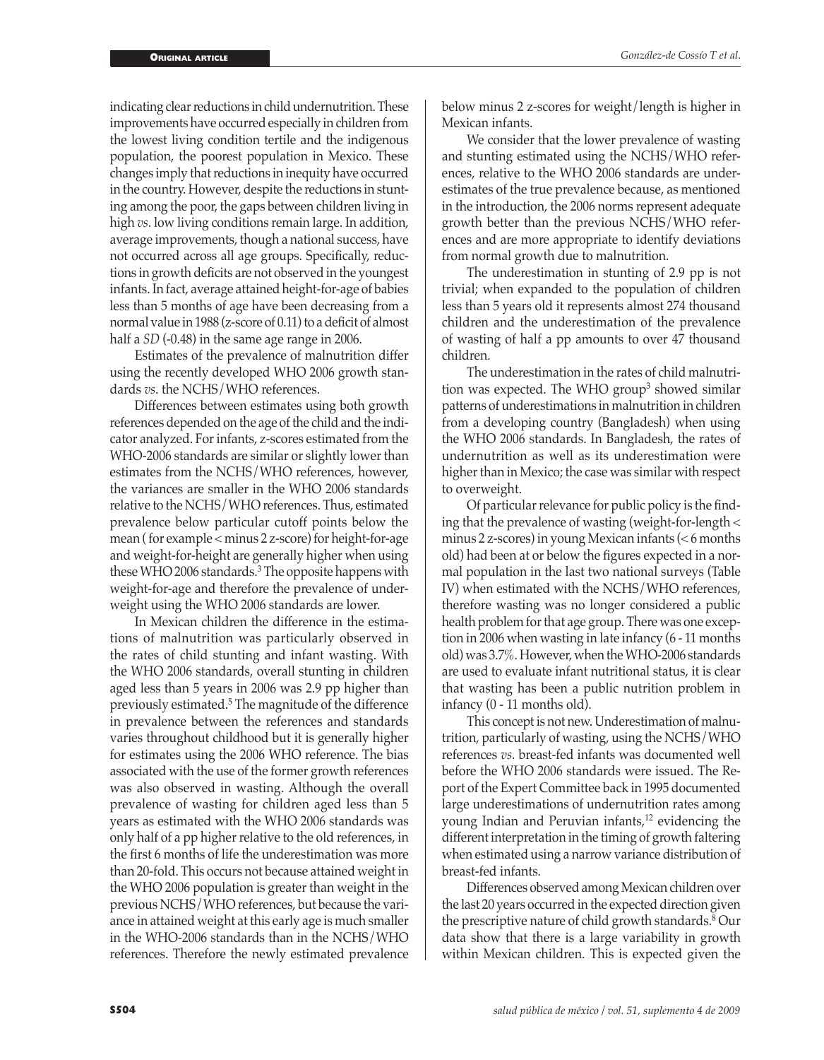indicating clear reductions in child undernutrition. These improvements have occurred especially in children from the lowest living condition tertile and the indigenous population, the poorest population in Mexico. These changes imply that reductions in inequity have occurred in the country. However, despite the reductions in stunting among the poor, the gaps between children living in high *vs*. low living conditions remain large. In addition, average improvements, though a national success, have not occurred across all age groups. Specifically, reductions in growth deficits are not observed in the youngest infants. In fact, average attained height-for-age of babies less than 5 months of age have been decreasing from a normal value in 1988 (z-score of 0.11) to a deficit of almost half a *SD* (-0.48) in the same age range in 2006.

Estimates of the prevalence of malnutrition differ using the recently developed WHO 2006 growth standards *vs*. the NCHS/WHO references.

Differences between estimates using both growth references depended on the age of the child and the indicator analyzed. For infants, z-scores estimated from the WHO-2006 standards are similar or slightly lower than estimates from the NCHS/WHO references, however, the variances are smaller in the WHO 2006 standards relative to the NCHS/WHO references. Thus, estimated prevalence below particular cutoff points below the mean ( for example < minus 2 z-score) for height-for-age and weight-for-height are generally higher when using these WHO 2006 standards.3 The opposite happens with weight-for-age and therefore the prevalence of underweight using the WHO 2006 standards are lower.

In Mexican children the difference in the estimations of malnutrition was particularly observed in the rates of child stunting and infant wasting. With the WHO 2006 standards, overall stunting in children aged less than 5 years in 2006 was 2.9 pp higher than previously estimated.5 The magnitude of the difference in prevalence between the references and standards varies throughout childhood but it is generally higher for estimates using the 2006 WHO reference. The bias associated with the use of the former growth references was also observed in wasting. Although the overall prevalence of wasting for children aged less than 5 years as estimated with the WHO 2006 standards was only half of a pp higher relative to the old references, in the first 6 months of life the underestimation was more than 20-fold. This occurs not because attained weight in the WHO 2006 population is greater than weight in the previous NCHS/WHO references, but because the variance in attained weight at this early age is much smaller in the WHO-2006 standards than in the NCHS/WHO references. Therefore the newly estimated prevalence

below minus 2 z-scores for weight/length is higher in Mexican infants.

We consider that the lower prevalence of wasting and stunting estimated using the NCHS/WHO references, relative to the WHO 2006 standards are underestimates of the true prevalence because, as mentioned in the introduction, the 2006 norms represent adequate growth better than the previous NCHS/WHO references and are more appropriate to identify deviations from normal growth due to malnutrition.

The underestimation in stunting of 2.9 pp is not trivial; when expanded to the population of children less than 5 years old it represents almost 274 thousand children and the underestimation of the prevalence of wasting of half a pp amounts to over 47 thousand children.

The underestimation in the rates of child malnutrition was expected. The WHO group<sup>3</sup> showed similar patterns of underestimations in malnutrition in children from a developing country (Bangladesh) when using the WHO 2006 standards. In Bangladesh, the rates of undernutrition as well as its underestimation were higher than in Mexico; the case was similar with respect to overweight.

Of particular relevance for public policy is the finding that the prevalence of wasting (weight-for-length < minus 2 z-scores) in young Mexican infants (< 6 months old) had been at or below the figures expected in a normal population in the last two national surveys (Table IV) when estimated with the NCHS/WHO references, therefore wasting was no longer considered a public health problem for that age group. There was one exception in 2006 when wasting in late infancy (6 - 11 months old) was 3.7%. However, when the WHO-2006 standards are used to evaluate infant nutritional status, it is clear that wasting has been a public nutrition problem in infancy (0 - 11 months old).

This concept is not new. Underestimation of malnutrition, particularly of wasting, using the NCHS/WHO references *vs*. breast-fed infants was documented well before the WHO 2006 standards were issued. The Report of the Expert Committee back in 1995 documented large underestimations of undernutrition rates among young Indian and Peruvian infants, $12$  evidencing the different interpretation in the timing of growth faltering when estimated using a narrow variance distribution of breast-fed infants.

Differences observed among Mexican children over the last 20 years occurred in the expected direction given the prescriptive nature of child growth standards.<sup>8</sup> Our data show that there is a large variability in growth within Mexican children. This is expected given the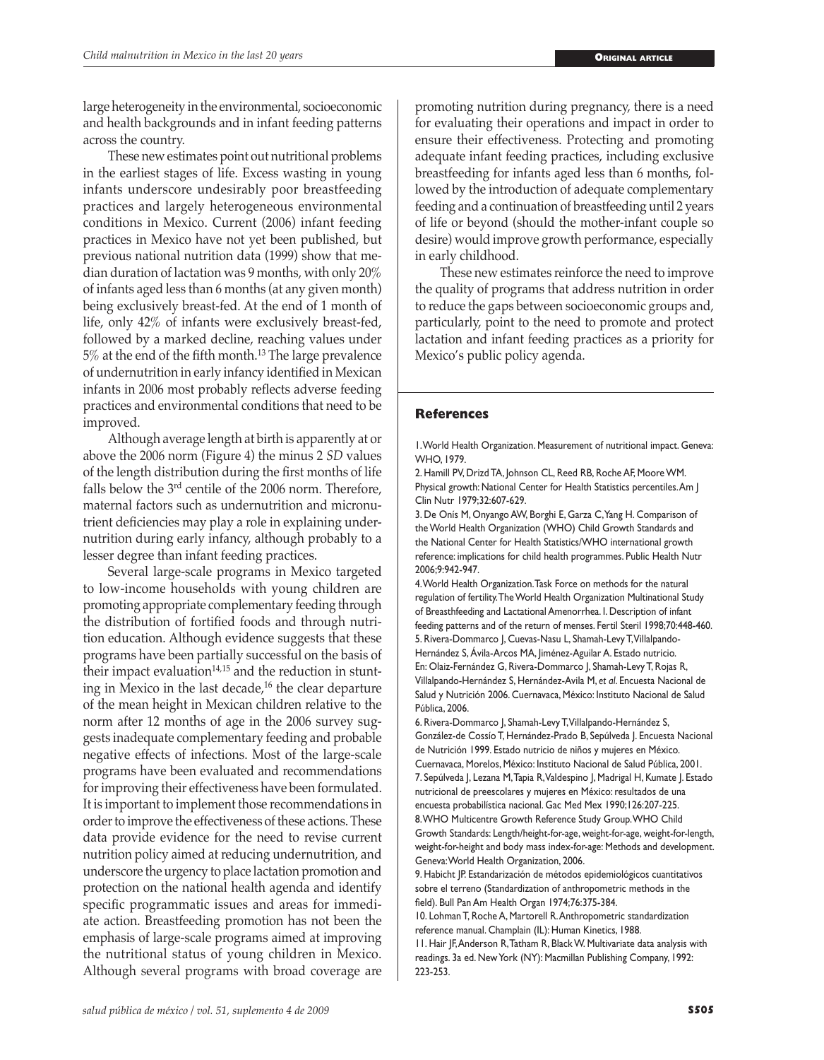large heterogeneity in the environmental, socioeconomic and health backgrounds and in infant feeding patterns across the country.

These new estimates point out nutritional problems in the earliest stages of life. Excess wasting in young infants underscore undesirably poor breastfeeding practices and largely heterogeneous environmental conditions in Mexico. Current (2006) infant feeding practices in Mexico have not yet been published, but previous national nutrition data (1999) show that median duration of lactation was 9 months, with only 20% of infants aged less than 6 months (at any given month) being exclusively breast-fed. At the end of 1 month of life, only 42% of infants were exclusively breast-fed, followed by a marked decline, reaching values under 5% at the end of the fifth month.13 The large prevalence of undernutrition in early infancy identified in Mexican infants in 2006 most probably reflects adverse feeding practices and environmental conditions that need to be improved.

Although average length at birth is apparently at or above the 2006 norm (Figure 4) the minus 2 *SD* values of the length distribution during the first months of life falls below the 3rd centile of the 2006 norm. Therefore, maternal factors such as undernutrition and micronutrient deficiencies may play a role in explaining undernutrition during early infancy, although probably to a lesser degree than infant feeding practices.

Several large-scale programs in Mexico targeted to low-income households with young children are promoting appropriate complementary feeding through the distribution of fortified foods and through nutrition education. Although evidence suggests that these programs have been partially successful on the basis of their impact evaluation $14,15$  and the reduction in stunting in Mexico in the last decade, $16$  the clear departure of the mean height in Mexican children relative to the norm after 12 months of age in the 2006 survey suggests inadequate complementary feeding and probable negative effects of infections. Most of the large-scale programs have been evaluated and recommendations for improving their effectiveness have been formulated. It is important to implement those recommendations in order to improve the effectiveness of these actions. These data provide evidence for the need to revise current nutrition policy aimed at reducing undernutrition, and underscore the urgency to place lactation promotion and protection on the national health agenda and identify specific programmatic issues and areas for immediate action. Breastfeeding promotion has not been the emphasis of large-scale programs aimed at improving the nutritional status of young children in Mexico. Although several programs with broad coverage are

promoting nutrition during pregnancy, there is a need for evaluating their operations and impact in order to ensure their effectiveness. Protecting and promoting adequate infant feeding practices, including exclusive breastfeeding for infants aged less than 6 months, followed by the introduction of adequate complementary feeding and a continuation of breastfeeding until 2 years of life or beyond (should the mother-infant couple so desire) would improve growth performance, especially in early childhood.

These new estimates reinforce the need to improve the quality of programs that address nutrition in order to reduce the gaps between socioeconomic groups and, particularly, point to the need to promote and protect lactation and infant feeding practices as a priority for Mexico's public policy agenda.

## **References**

1. World Health Organization. Measurement of nutritional impact. Geneva: WHO, 1979.

2. Hamill PV, Drizd TA, Johnson CL, Reed RB, Roche AF, Moore WM. Physical growth: National Center for Health Statistics percentiles. Am J Clin Nutr 1979;32:607-629.

3. De Onís M, Onyango AW, Borghi E, Garza C, Yang H. Comparison of the World Health Organization (WHO) Child Growth Standards and the National Center for Health Statistics/WHO international growth reference: implications for child health programmes. Public Health Nutr 2006;9:942-947.

4. World Health Organization. Task Force on methods for the natural regulation of fertility. The World Health Organization Multinational Study of Breasthfeeding and Lactational Amenorrhea. I. Description of infant feeding patterns and of the return of menses. Fertil Steril 1998;70:448-460. 5. Rivera-Dommarco J, Cuevas-Nasu L, Shamah-Levy T, Villalpando-Hernández S, Ávila-Arcos MA, Jiménez-Aguilar A. Estado nutricio. En: Olaiz-Fernández G, Rivera-Dommarco J, Shamah-Levy T, Rojas R, Villalpando-Hernández S, Hernández-Avila M, *et al*. Encuesta Nacional de Salud y Nutrición 2006. Cuernavaca, México: Instituto Nacional de Salud Pública, 2006.

6. Rivera-Dommarco J, Shamah-Levy T, Villalpando-Hernández S, González-de Cossío T, Hernández-Prado B, Sepúlveda J. Encuesta Nacional de Nutrición 1999. Estado nutricio de niños y mujeres en México. Cuernavaca, Morelos, México: Instituto Nacional de Salud Pública, 2001. 7. Sepúlveda J, Lezana M, Tapia R, Valdespino J, Madrigal H, Kumate J. Estado nutricional de preescolares y mujeres en México: resultados de una encuesta probabilística nacional. Gac Med Mex 1990;126:207-225. 8. WHO Multicentre Growth Reference Study Group. WHO Child Growth Standards: Length/height-for-age, weight-for-age, weight-for-length, weight-for-height and body mass index-for-age: Methods and development. Geneva: World Health Organization, 2006.

9. Habicht JP. Estandarización de métodos epidemiológicos cuantitativos sobre el terreno (Standardization of anthropometric methods in the field). Bull Pan Am Health Organ 1974;76:375-384.

10. Lohman T, Roche A, Martorell R. Anthropometric standardization reference manual. Champlain (IL): Human Kinetics, 1988.

11. Hair JF, Anderson R, Tatham R, Black W. Multivariate data analysis with readings. 3a ed. New York (NY): Macmillan Publishing Company, 1992: 223-253.